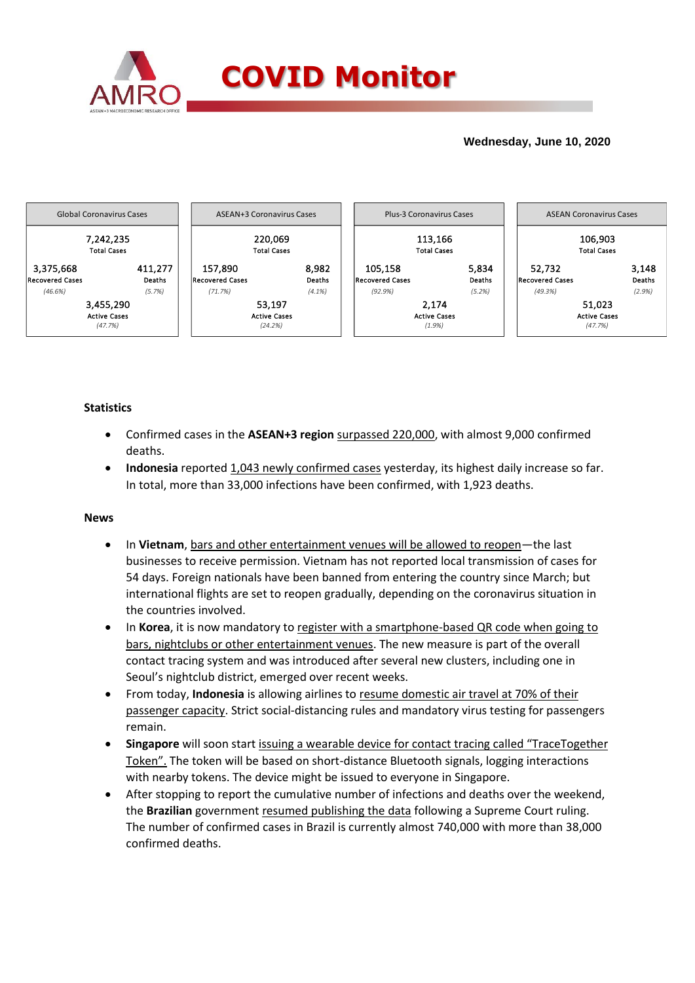

## **Wednesday, June 10, 2020**



# **Statistics**

- Confirmed cases in the **ASEAN+3 region** surpassed 220,000, with almost 9,000 confirmed deaths.
- **Indonesia** reported 1,043 newly confirmed cases yesterday, its highest daily increase so far. In total, more than 33,000 infections have been confirmed, with 1,923 deaths.

### **News**

- In **Vietnam**, bars and other entertainment venues will be allowed to reopen—the last businesses to receive permission. Vietnam has not reported local transmission of cases for 54 days. Foreign nationals have been banned from entering the country since March; but international flights are set to reopen gradually, depending on the coronavirus situation in the countries involved.
- In **Korea**, it is now mandatory to register with a smartphone-based QR code when going to bars, nightclubs or other entertainment venues. The new measure is part of the overall contact tracing system and was introduced after several new clusters, including one in Seoul's nightclub district, emerged over recent weeks.
- From today, **Indonesia** is allowing airlines to resume domestic air travel at 70% of their passenger capacity. Strict social-distancing rules and mandatory virus testing for passengers remain.
- **Singapore** will soon start issuing a wearable device for contact tracing called "TraceTogether Token". The token will be based on short-distance Bluetooth signals, logging interactions with nearby tokens. The device might be issued to everyone in Singapore.
- After stopping to report the cumulative number of infections and deaths over the weekend, the **Brazilian** government resumed publishing the data following a Supreme Court ruling. The number of confirmed cases in Brazil is currently almost 740,000 with more than 38,000 confirmed deaths.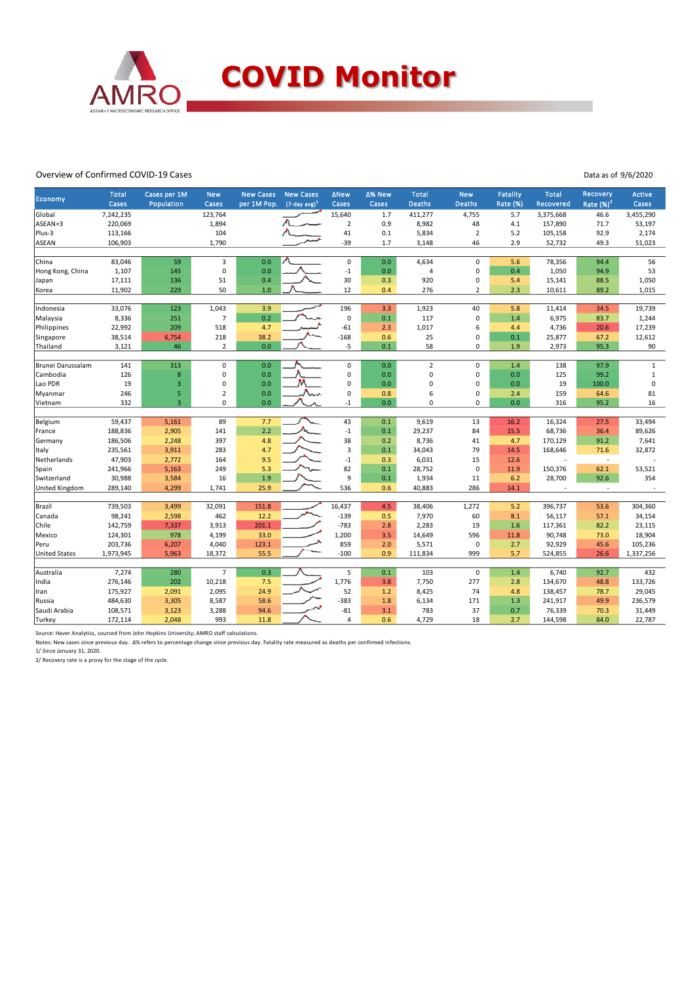

#### Overview of Confirmed COVID-19 Cases

Data as of 9/6/2020

| <b>Economy</b>       | <b>Total</b><br>Cases | Cases per 1M<br>Population | <b>New</b><br>Cases | <b>New Cases</b><br>per 1M Pop. | <b>New Cases</b><br>$(7$ -day avg) <sup>1</sup> | <b>ANew</b><br>Cases    | ∆% New<br>Cases | <b>Total</b><br><b>Deaths</b> | <b>New</b><br><b>Deaths</b> | <b>Fatality</b><br><b>Rate (%)</b> | <b>Total</b><br><b>Recovered</b> | <b>Recovery</b><br>Rate $(%)2$ | Active<br>Cases |
|----------------------|-----------------------|----------------------------|---------------------|---------------------------------|-------------------------------------------------|-------------------------|-----------------|-------------------------------|-----------------------------|------------------------------------|----------------------------------|--------------------------------|-----------------|
| Global               | 7,242,235             |                            | 123,764             |                                 |                                                 | 15,640                  | 1.7             | 411,277                       | 4,755                       | 5.7                                | 3,375,668                        | 46.6                           | 3,455,290       |
| ASEAN+3              | 220,069               |                            | 1,894               |                                 |                                                 | $\overline{2}$          | 0.9             | 8,982                         | 48                          | 4.1                                | 157,890                          | 71.7                           | 53,197          |
| Plus-3               | 113,166               |                            | 104                 |                                 |                                                 | 41                      | 0.1             | 5,834                         | $\overline{2}$              | 5.2                                | 105,158                          | 92.9                           | 2,174           |
| <b>ASEAN</b>         | 106,903               |                            | 1,790               |                                 |                                                 | $-39$                   | 1.7             | 3,148                         | 46                          | 2.9                                | 52,732                           | 49.3                           | 51,023          |
|                      |                       |                            |                     |                                 |                                                 |                         |                 |                               |                             |                                    |                                  |                                |                 |
| China                | 83,046                | 59                         | 3                   | 0.0                             |                                                 | $\mathbf 0$             | 0.0             | 4,634                         | 0                           | 5.6                                | 78,356                           | 94.4                           | 56              |
| Hong Kong, China     | 1,107                 | 145                        | $\mathbf 0$         | 0.0                             |                                                 | $^{\mbox{{\small -1}}}$ | 0.0             | 4                             | $\pmb{0}$                   | 0.4                                | 1,050                            | 94.9                           | 53              |
| Japan                | 17,111                | 136                        | 51                  | 0.4                             |                                                 | 30                      | 0.3             | 920                           | $\pmb{0}$                   | 5.4                                | 15,141                           | 88.5                           | 1,050           |
| Korea                | 11,902                | 229                        | 50                  | 1.0                             |                                                 | 12                      | 0.4             | 276                           | $\overline{2}$              | 2.3                                | 10,611                           | 89.2                           | 1,015           |
|                      |                       |                            |                     |                                 |                                                 |                         |                 |                               |                             |                                    |                                  |                                |                 |
| Indonesia            | 33,076                | 123                        | 1,043               | 3.9                             |                                                 | 196                     | 3.3             | 1,923                         | 40                          | 5.8                                | 11,414                           | 34.5                           | 19,739          |
| Malaysia             | 8,336                 | 251                        | $\overline{7}$      | 0.2                             |                                                 | $\mathbf 0$             | 0.1             | 117                           | $\mathsf 0$                 | 1.4                                | 6,975                            | 83.7                           | 1,244           |
| Philippines          | 22,992                | 209                        | 518                 | 4.7                             |                                                 | $-61$                   | 2.3             | 1,017                         | 6                           | 4.4                                | 4,736                            | 20.6                           | 17,239          |
| Singapore            | 38,514                | 6,754                      | 218                 | 38.2                            |                                                 | $-168$                  | 0.6             | 25                            | $\pmb{0}$                   | 0.1                                | 25,877                           | 67.2                           | 12,612          |
| Thailand             | 3,121                 | 46                         | $\overline{2}$      | 0.0                             |                                                 | $-5$                    | 0.1             | 58                            | 0                           | 1.9                                | 2,973                            | 95.3                           | 90              |
|                      |                       |                            |                     |                                 |                                                 |                         |                 |                               |                             |                                    |                                  |                                |                 |
| Brunei Darussalam    | 141                   | 313                        | $\pmb{0}$           | 0.0                             |                                                 | $\mathsf 0$             | 0.0             | $\overline{2}$                | $\mathbf 0$                 | 1.4                                | 138                              | 97.9                           | $1\,$           |
| Cambodia             | 126                   | 8                          | $\mathbf 0$         | 0.0                             |                                                 | 0                       | 0.0             | 0                             | $\pmb{0}$                   | 0.0                                | 125                              | 99.2                           | $\mathbf 1$     |
| Lao PDR              | 19                    | 3                          | $\mathbf 0$         | 0.0                             |                                                 | 0                       | 0.0             | $\Omega$                      | $\mathbf 0$                 | 0.0                                | 19                               | 100.0                          | $\pmb{0}$       |
| Myanmar              | 246                   | 5                          | $\overline{2}$      | 0.0                             |                                                 | 0                       | 0.8             | 6                             | $\pmb{0}$                   | 2.4                                | 159                              | 64.6                           | 81              |
| Vietnam              | 332                   | $\overline{3}$             | $\mathbf 0$         | 0.0                             |                                                 | $-1$                    | 0.0             | $\mathbf 0$                   | 0                           | 0.0                                | 316                              | 95.2                           | 16              |
|                      |                       |                            |                     |                                 |                                                 |                         |                 |                               |                             |                                    |                                  |                                |                 |
| Belgium              | 59,437                | 5,161                      | 89                  | 7.7                             |                                                 | 43                      | 0.1             | 9,619                         | 13                          | 16.2                               | 16,324                           | 27.5                           | 33,494          |
| France               | 188,836               | 2,905                      | 141                 | 2.2                             |                                                 | $^{\text{{\small -1}}}$ | 0.1             | 29,237                        | 84                          | 15.5                               | 68,736                           | 36.4                           | 89,626          |
| Germany              | 186,506               | 2,248                      | 397                 | 4.8                             |                                                 | 38                      | 0.2             | 8,736                         | 41                          | 4.7                                | 170,129                          | 91.2                           | 7,641           |
| Italy                | 235,561               | 3,911                      | 283                 | 4.7                             |                                                 | 3                       | 0.1             | 34,043                        | 79                          | 14.5                               | 168,646                          | 71.6                           | 32,872          |
| Netherlands          | 47,903                | 2,772                      | 164                 | 9.5                             |                                                 | $^{\text{-}1}$          | 0.3             | 6,031                         | 15                          | 12.6                               |                                  | $\overline{\phantom{a}}$       |                 |
| Spain                | 241,966               | 5,163                      | 249                 | 5.3                             |                                                 | 82                      | 0.1             | 28,752                        | $\pmb{0}$                   | 11.9                               | 150,376                          | 62.1                           | 53,521          |
| Switzerland          | 30,988                | 3,584                      | 16                  | 1.9                             |                                                 | 9                       | 0.1             | 1,934                         | 11                          | 6.2                                | 28,700                           | 92.6                           | 354             |
| United Kingdom       | 289,140               | 4,299                      | 1,741               | 25.9                            |                                                 | 536                     | 0.6             | 40,883                        | 286                         | 14.1                               |                                  | $\mathbf{r}$                   |                 |
|                      |                       |                            |                     |                                 |                                                 |                         |                 |                               |                             |                                    |                                  |                                |                 |
| Brazil               | 739,503               | 3,499                      | 32,091              | 151.8                           |                                                 | 16,437                  | 4.5             | 38,406                        | 1,272                       | 5.2                                | 396,737                          | 53.6                           | 304,360         |
| Canada               | 98,241                | 2,598                      | 462                 | 12.2                            |                                                 | $-139$                  | 0.5             | 7,970                         | 60                          | 8.1                                | 56,117                           | 57.1                           | 34,154          |
| Chile                | 142,759               | 7,337                      | 3,913               | 201.1                           |                                                 | $-783$                  | 2.8             | 2,283                         | 19                          | 1.6                                | 117,361                          | 82.2                           | 23,115          |
| Mexico               | 124,301               | 978                        | 4,199               | 33.0                            |                                                 | 1,200                   | 3.5             | 14,649                        | 596                         | 11.8                               | 90,748                           | 73.0                           | 18,904          |
| Peru                 | 203,736               | 6,207                      | 4,040               | 123.1                           |                                                 | 859                     | 2.0             | 5,571                         | 0                           | 2.7                                | 92,929                           | 45.6                           | 105,236         |
| <b>United States</b> | 1,973,945             | 5,963                      | 18,372              | 55.5                            |                                                 | $-100$                  | 0.9             | 111,834                       | 999                         | 5.7                                | 524,855                          | 26.6                           | 1,337,256       |
|                      |                       |                            |                     |                                 |                                                 |                         |                 |                               |                             |                                    |                                  |                                |                 |
| Australia            | 7,274                 | 280                        | $\overline{7}$      | 0.3                             |                                                 | 5                       | 0.1             | 103                           | $\mathbf 0$                 | 1.4                                | 6,740                            | 92.7                           | 432             |
| India                | 276,146               | 202                        | 10,218              | 7.5                             |                                                 | 1,776                   | 3.8             | 7,750                         | 277                         | 2.8                                | 134,670                          | 48.8                           | 133,726         |
| Iran                 | 175,927               | 2,091                      | 2,095               | 24.9                            |                                                 | 52                      | 1.2             | 8,425                         | 74                          | 4.8                                | 138,457                          | 78.7                           | 29,045          |
| Russia               | 484,630               | 3,305                      | 8,587               | 58.6                            |                                                 | $-383$                  | 1.8             | 6,134                         | 171                         | 1.3                                | 241,917                          | 49.9                           | 236,579         |
| Saudi Arabia         | 108,571               | 3,123                      | 3,288               | 94.6                            |                                                 | $-81$                   | 3.1             | 783                           | 37                          | 0.7                                | 76,339                           | 70.3                           | 31,449          |
| Turkey               | 172,114               | 2,048                      | 993                 | 11.8                            |                                                 | $\overline{4}$          | 0.6             | 4.729                         | 18                          | 2.7                                | 144,598                          | 84.0                           | 22,787          |

Source: Haver Analytics, sourced from John Hopkins University; AMRO staff calculations.

Notes: New cases since previous day. Δ% refers to percentage change since previous day. Fatality rate measured as deaths per confirmed infections.

1/ Since January 31, 2020. 2/ Recovery rate is a proxy for the stage of the cycle.